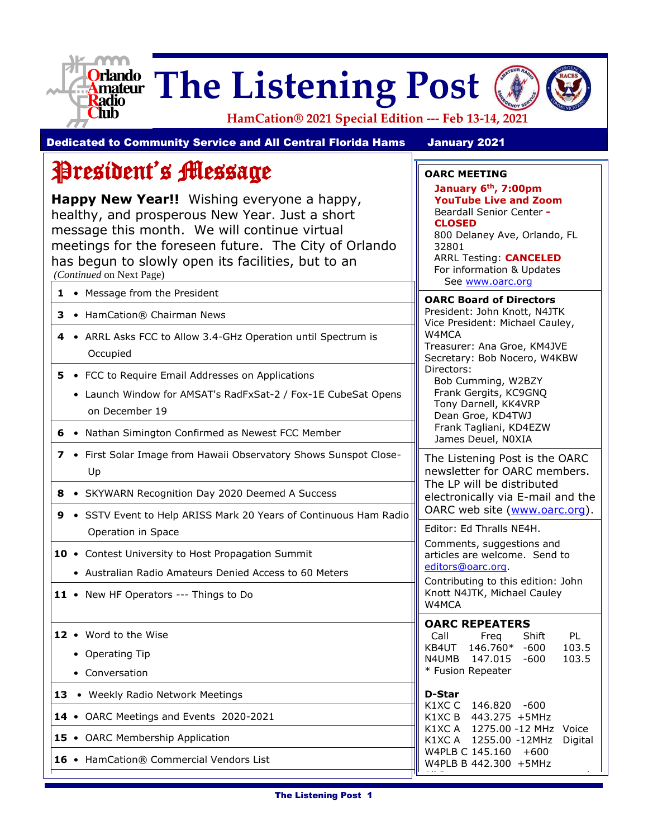

# **Orlando** The Listening Post



**HamCation® 2021 Special Edition --- Feb 13-14, 2021**

**OARC MEETING**

**CLOSED**

32801

**January 6th, 7:00pm YouTube Live and Zoom**  Beardall Senior Center **-**

800 Delaney Ave, Orlando, FL

ARRL Testing: **CANCELED** For information & Updates

Dedicated to Community Service and All Central Florida Hams January 2021

# President's Message

**Happy New Year!!** Wishing everyone a happy, healthy, and prosperous New Year. Just a short message this month. We will continue virtual meetings for the foreseen future. The City of Orlando has begun to slowly open its facilities, but to an *(Continued* on Next Page)

|                                                                                                                                           | See www.oarc.org                                                                                                                                   |
|-------------------------------------------------------------------------------------------------------------------------------------------|----------------------------------------------------------------------------------------------------------------------------------------------------|
| 1 • Message from the President<br>3 • HamCation® Chairman News                                                                            | <b>OARC Board of Directors</b><br>President: John Knott, N4JTK                                                                                     |
| • ARRL Asks FCC to Allow 3.4-GHz Operation until Spectrum is<br>4<br>Occupied                                                             | Vice President: Michael Cauley,<br>W4MCA<br>Treasurer: Ana Groe, KM4JVE<br>Secretary: Bob Nocero, W4KBW                                            |
| 5.<br>• FCC to Require Email Addresses on Applications<br>• Launch Window for AMSAT's RadFxSat-2 / Fox-1E CubeSat Opens<br>on December 19 | Directors:<br>Bob Cumming, W2BZY<br>Frank Gergits, KC9GNQ<br>Tony Darnell, KK4VRP<br>Dean Groe, KD4TWJ                                             |
| 6 • Nathan Simington Confirmed as Newest FCC Member                                                                                       | Frank Tagliani, KD4EZW<br>James Deuel, N0XIA                                                                                                       |
| 7 • First Solar Image from Hawaii Observatory Shows Sunspot Close-<br>Up                                                                  | The Listening Post is the OARC<br>newsletter for OARC members.                                                                                     |
| 8 • SKYWARN Recognition Day 2020 Deemed A Success                                                                                         | The LP will be distributed<br>electronically via E-mail and the                                                                                    |
| • SSTV Event to Help ARISS Mark 20 Years of Continuous Ham Radio<br>9<br>Operation in Space                                               | OARC web site (www.oarc.org).<br>Editor: Ed Thralls NE4H.                                                                                          |
| 10 • Contest University to Host Propagation Summit<br>• Australian Radio Amateurs Denied Access to 60 Meters                              | Comments, suggestions and<br>articles are welcome. Send to<br>editors@oarc.org.                                                                    |
| 11 • New HF Operators --- Things to Do                                                                                                    | Contributing to this edition: John<br>Knott N4JTK, Michael Cauley<br>W4MCA                                                                         |
| 12 • Word to the Wise<br>• Operating Tip<br>• Conversation                                                                                | <b>OARC REPEATERS</b><br>Shift<br>PL<br>Call<br>Freg<br>KB4UT 146.760*<br>$-600$<br>103.5<br>N4UMB 147.015<br>$-600$<br>103.5<br>* Fusion Repeater |
| 13 • Weekly Radio Network Meetings                                                                                                        | D-Star                                                                                                                                             |
| 14 • OARC Meetings and Events 2020-2021                                                                                                   | K1XCC 146.820 -600<br>K1XC B 443.275 +5MHz                                                                                                         |
| 15 • OARC Membership Application                                                                                                          | K1XC A 1275.00 -12 MHz Voice<br>K1XC A 1255.00 -12MHz<br>Digital                                                                                   |
| 16 • HamCation® Commercial Vendors List                                                                                                   | W4PLB C 145.160<br>+600<br>W4PLB B 442.300 +5MHz                                                                                                   |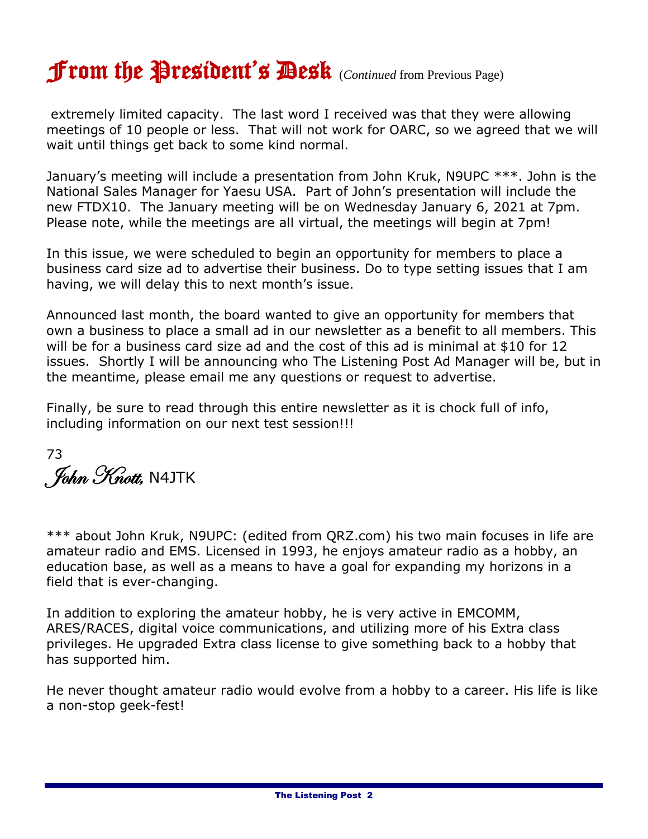# From the President's Desk (*Continued* from Previous Page)

extremely limited capacity. The last word I received was that they were allowing meetings of 10 people or less. That will not work for OARC, so we agreed that we will wait until things get back to some kind normal.

January's meeting will include a presentation from John Kruk, N9UPC \*\*\*. John is the National Sales Manager for Yaesu USA. Part of John's presentation will include the new FTDX10. The January meeting will be on Wednesday January 6, 2021 at 7pm. Please note, while the meetings are all virtual, the meetings will begin at 7pm!

In this issue, we were scheduled to begin an opportunity for members to place a business card size ad to advertise their business. Do to type setting issues that I am having, we will delay this to next month's issue.

Announced last month, the board wanted to give an opportunity for members that own a business to place a small ad in our newsletter as a benefit to all members. This will be for a business card size ad and the cost of this ad is minimal at \$10 for 12 issues. Shortly I will be announcing who The Listening Post Ad Manager will be, but in the meantime, please email me any questions or request to advertise.

Finally, be sure to read through this entire newsletter as it is chock full of info, including information on our next test session!!!

73 John Knott, N4JTK

\*\*\* about John Kruk, N9UPC: (edited from QRZ.com) his two main focuses in life are amateur radio and EMS. Licensed in 1993, he enjoys amateur radio as a hobby, an education base, as well as a means to have a goal for expanding my horizons in a field that is ever-changing.

In addition to exploring the amateur hobby, he is very active in EMCOMM, ARES/RACES, digital voice communications, and utilizing more of his Extra class privileges. He upgraded Extra class license to give something back to a hobby that has supported him.

He never thought amateur radio would evolve from a hobby to a career. His life is like a non-stop geek-fest!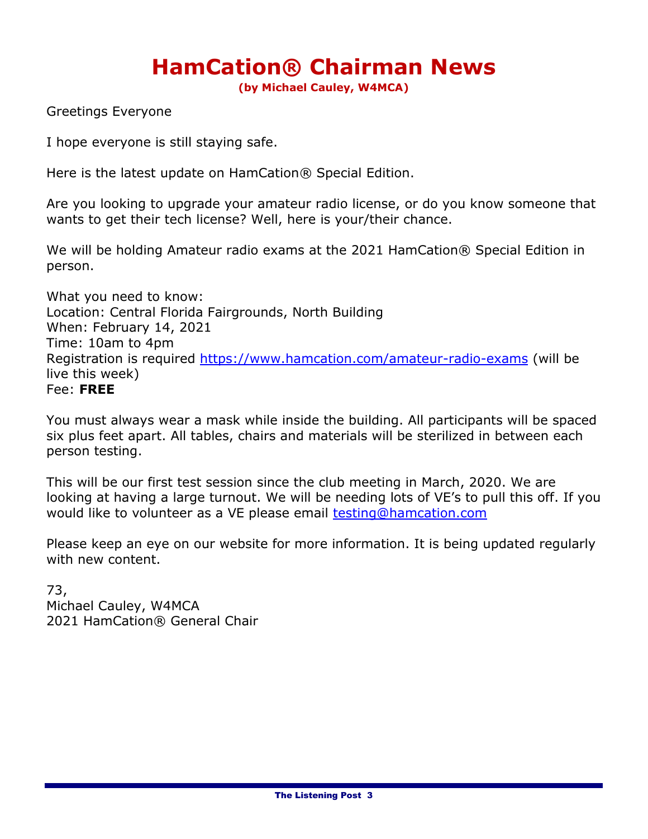# **HamCation® Chairman News**

**(by Michael Cauley, W4MCA)**

Greetings Everyone

I hope everyone is still staying safe.

Here is the latest update on HamCation® Special Edition.

Are you looking to upgrade your amateur radio license, or do you know someone that wants to get their tech license? Well, here is your/their chance.

We will be holding Amateur radio exams at the 2021 HamCation® Special Edition in person.

What you need to know: Location: Central Florida Fairgrounds, North Building When: February 14, 2021 Time: 10am to 4pm Registration is required<https://www.hamcation.com/amateur-radio-exams> (will be live this week) Fee: **FREE**

You must always wear a mask while inside the building. All participants will be spaced six plus feet apart. All tables, chairs and materials will be sterilized in between each person testing.

This will be our first test session since the club meeting in March, 2020. We are looking at having a large turnout. We will be needing lots of VE's to pull this off. If you would like to volunteer as a VE please email [testing@hamcation.com](mailto:testing@hamcation.com)

Please keep an eye on our website for more information. It is being updated regularly with new content.

73, Michael Cauley, W4MCA 2021 HamCation® General Chair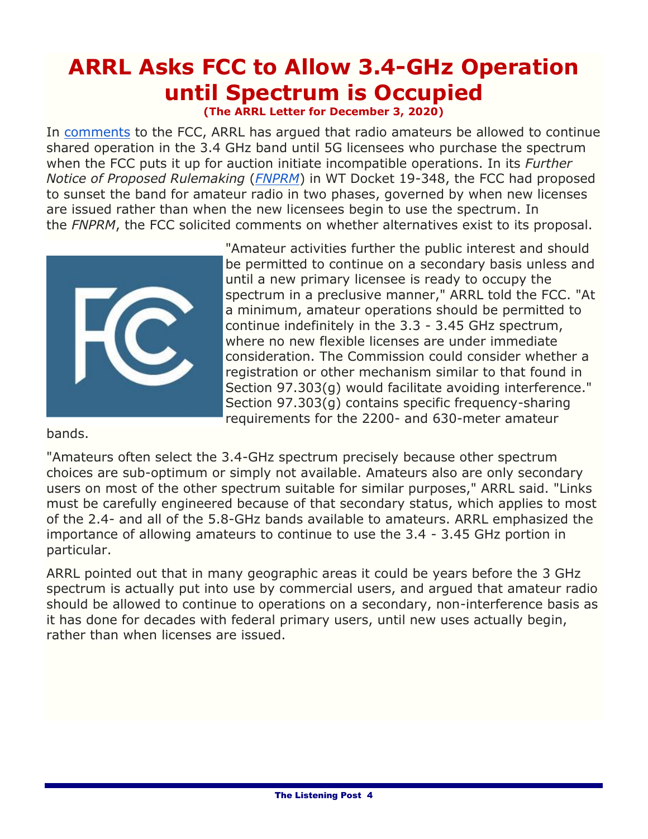# **ARRL Asks FCC to Allow 3.4-GHz Operation until Spectrum is Occupied**

**(The ARRL Letter for December 3, 2020)**

In [comments](https://www.fcc.gov/ecfs/filing/1121343222241) to the FCC, ARRL has argued that radio amateurs be allowed to continue shared operation in the 3.4 GHz band until 5G licensees who purchase the spectrum when the FCC puts it up for auction initiate incompatible operations. In its *Further Notice of Proposed Rulemaking* (*[FNPRM](https://ecfsapi.fcc.gov/file/1002214202488/FCC-20-138A1.pdf)*) in WT Docket 19-348, the FCC had proposed to sunset the band for amateur radio in two phases, governed by when new licenses are issued rather than when the new licensees begin to use the spectrum. In the *FNPRM*, the FCC solicited comments on whether alternatives exist to its proposal.



"Amateur activities further the public interest and should be permitted to continue on a secondary basis unless and until a new primary licensee is ready to occupy the spectrum in a preclusive manner," ARRL told the FCC. "At a minimum, amateur operations should be permitted to continue indefinitely in the 3.3 - 3.45 GHz spectrum, where no new flexible licenses are under immediate consideration. The Commission could consider whether a registration or other mechanism similar to that found in Section 97.303(g) would facilitate avoiding interference." Section 97.303(g) contains specific frequency-sharing requirements for the 2200- and 630-meter amateur

bands.

"Amateurs often select the 3.4-GHz spectrum precisely because other spectrum choices are sub-optimum or simply not available. Amateurs also are only secondary users on most of the other spectrum suitable for similar purposes," ARRL said. "Links must be carefully engineered because of that secondary status, which applies to most of the 2.4- and all of the 5.8-GHz bands available to amateurs. ARRL emphasized the importance of allowing amateurs to continue to use the 3.4 - 3.45 GHz portion in particular.

ARRL pointed out that in many geographic areas it could be years before the 3 GHz spectrum is actually put into use by commercial users, and argued that amateur radio should be allowed to continue to operations on a secondary, non-interference basis as it has done for decades with federal primary users, until new uses actually begin, rather than when licenses are issued.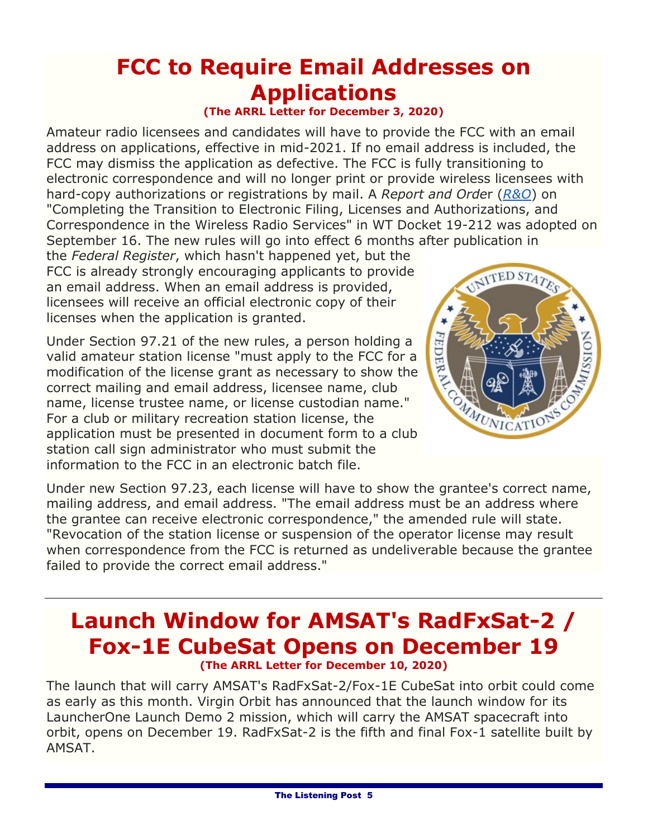# **FCC to Require Email Addresses on Applications**

**(The ARRL Letter for December 3, 2020)**

Amateur radio licensees and candidates will have to provide the FCC with an email address on applications, effective in mid-2021. If no email address is included, the FCC may dismiss the application as defective. The FCC is fully transitioning to electronic correspondence and will no longer print or provide wireless licensees with hard-copy authorizations or registrations by mail. A *Report and Orde*r (*[R&O](https://www.fcc.gov/document/fcc-adopts-electronic-licensing-report-and-order)*) on "Completing the Transition to Electronic Filing, Licenses and Authorizations, and Correspondence in the Wireless Radio Services" in WT Docket 19-212 was adopted on September 16. The new rules will go into effect 6 months after publication in

the *Federal Register*, which hasn't happened yet, but the FCC is already strongly encouraging applicants to provide an email address. When an email address is provided, licensees will receive an official electronic copy of their licenses when the application is granted.

Under Section 97.21 of the new rules, a person holding a valid amateur station license "must apply to the FCC for a modification of the license grant as necessary to show the correct mailing and email address, licensee name, club name, license trustee name, or license custodian name." For a club or military recreation station license, the application must be presented in document form to a club station call sign administrator who must submit the information to the FCC in an electronic batch file.



Under new Section 97.23, each license will have to show the grantee's correct name, mailing address, and email address. "The email address must be an address where the grantee can receive electronic correspondence," the amended rule will state. "Revocation of the station license or suspension of the operator license may result when correspondence from the FCC is returned as undeliverable because the grantee failed to provide the correct email address."

#### **Launch Window for AMSAT's RadFxSat-2 / Fox-1E CubeSat Opens on December 19 (The ARRL Letter for December 10, 2020)**

The launch that will carry AMSAT's RadFxSat-2/Fox-1E CubeSat into orbit could come as early as this month. Virgin Orbit has announced that the launch window for its LauncherOne Launch Demo 2 mission, which will carry the AMSAT spacecraft into orbit, opens on December 19. RadFxSat-2 is the fifth and final Fox-1 satellite built by AMSAT.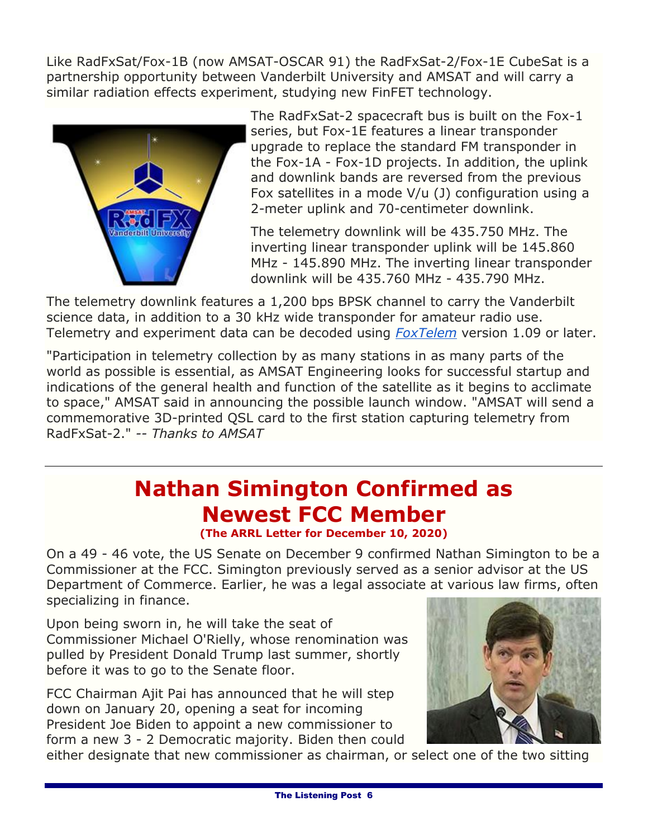Like RadFxSat/Fox-1B (now AMSAT-OSCAR 91) the RadFxSat-2/Fox-1E CubeSat is a partnership opportunity between Vanderbilt University and AMSAT and will carry a similar radiation effects experiment, studying new FinFET technology.



The RadFxSat-2 spacecraft bus is built on the Fox-1 series, but Fox-1E features a linear transponder upgrade to replace the standard FM transponder in the Fox-1A - Fox-1D projects. In addition, the uplink and downlink bands are reversed from the previous Fox satellites in a mode V/u (J) configuration using a 2-meter uplink and 70-centimeter downlink.

The telemetry downlink will be 435.750 MHz. The inverting linear transponder uplink will be 145.860 MHz - 145.890 MHz. The inverting linear transponder downlink will be 435.760 MHz - 435.790 MHz.

The telemetry downlink features a 1,200 bps BPSK channel to carry the Vanderbilt science data, in addition to a 30 kHz wide transponder for amateur radio use. Telemetry and experiment data can be decoded using *[FoxTelem](https://www.amsat.org/foxtelem-software-for-windows-mac-linux/)* version 1.09 or later.

"Participation in telemetry collection by as many stations in as many parts of the world as possible is essential, as AMSAT Engineering looks for successful startup and indications of the general health and function of the satellite as it begins to acclimate to space," AMSAT said in announcing the possible launch window. "AMSAT will send a commemorative 3D-printed QSL card to the first station capturing telemetry from RadFxSat-2." *-- Thanks to AMSAT*

# **Nathan Simington Confirmed as Newest FCC Member**

**(The ARRL Letter for December 10, 2020)**

On a 49 - 46 vote, the US Senate on December 9 confirmed Nathan Simington to be a Commissioner at the FCC. Simington previously served as a senior advisor at the US Department of Commerce. Earlier, he was a legal associate at various law firms, often specializing in finance.

Upon being sworn in, he will take the seat of Commissioner Michael O'Rielly, whose renomination was pulled by President Donald Trump last summer, shortly before it was to go to the Senate floor.

FCC Chairman Ajit Pai has announced that he will step down on January 20, opening a seat for incoming President Joe Biden to appoint a new commissioner to form a new 3 - 2 Democratic majority. Biden then could



either designate that new commissioner as chairman, or select one of the two sitting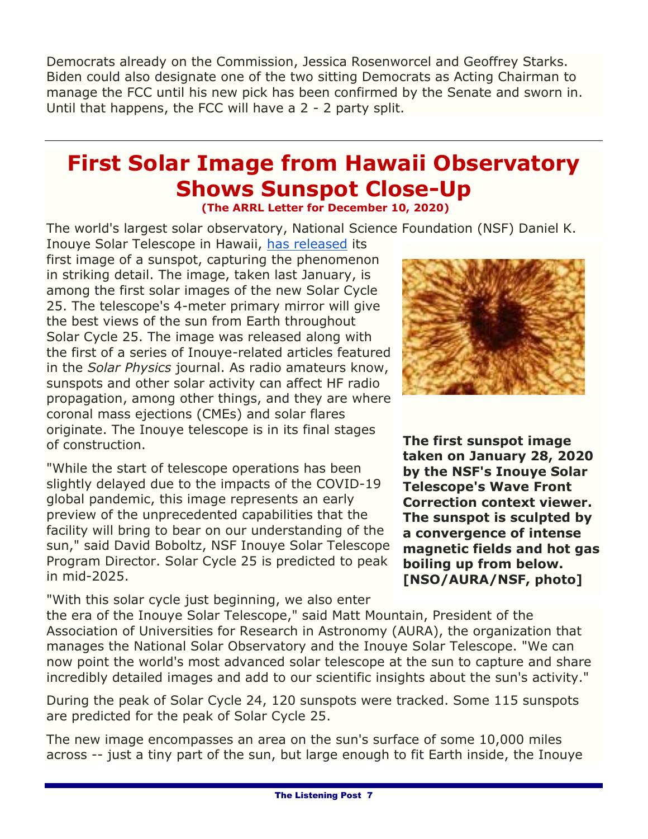Democrats already on the Commission, Jessica Rosenworcel and Geoffrey Starks. Biden could also designate one of the two sitting Democrats as Acting Chairman to manage the FCC until his new pick has been confirmed by the Senate and sworn in. Until that happens, the FCC will have a 2 - 2 party split.

#### **First Solar Image from Hawaii Observatory Shows Sunspot Close-Up (The ARRL Letter for December 10, 2020)**

The world's largest solar observatory, National Science Foundation (NSF) Daniel K.

Inouye Solar Telescope in Hawaii, [has released](https://nso.edu/press-release/inouye-solar-telescope-releases-first-image-of-a-sunspot/) its first image of a sunspot, capturing the phenomenon in striking detail. The image, taken last January, is among the first solar images of the new Solar Cycle 25. The telescope's 4-meter primary mirror will give the best views of the sun from Earth throughout Solar Cycle 25. The image was released along with the first of a series of Inouye-related articles featured in the *Solar Physics* journal. As radio amateurs know, sunspots and other solar activity can affect HF radio propagation, among other things, and they are where coronal mass ejections (CMEs) and solar flares originate. The Inouye telescope is in its final stages of construction.

"While the start of telescope operations has been slightly delayed due to the impacts of the COVID-19 global pandemic, this image represents an early preview of the unprecedented capabilities that the facility will bring to bear on our understanding of the sun," said David Boboltz, NSF Inouye Solar Telescope Program Director. Solar Cycle 25 is predicted to peak in mid-2025.

"With this solar cycle just beginning, we also enter



**The first sunspot image taken on January 28, 2020 by the NSF's Inouye Solar Telescope's Wave Front Correction context viewer. The sunspot is sculpted by a convergence of intense magnetic fields and hot gas boiling up from below. [NSO/AURA/NSF, photo]**

the era of the Inouye Solar Telescope," said Matt Mountain, President of the Association of Universities for Research in Astronomy (AURA), the organization that manages the National Solar Observatory and the Inouye Solar Telescope. "We can now point the world's most advanced solar telescope at the sun to capture and share incredibly detailed images and add to our scientific insights about the sun's activity."

During the peak of Solar Cycle 24, 120 sunspots were tracked. Some 115 sunspots are predicted for the peak of Solar Cycle 25.

The new image encompasses an area on the sun's surface of some 10,000 miles across -- just a tiny part of the sun, but large enough to fit Earth inside, the Inouye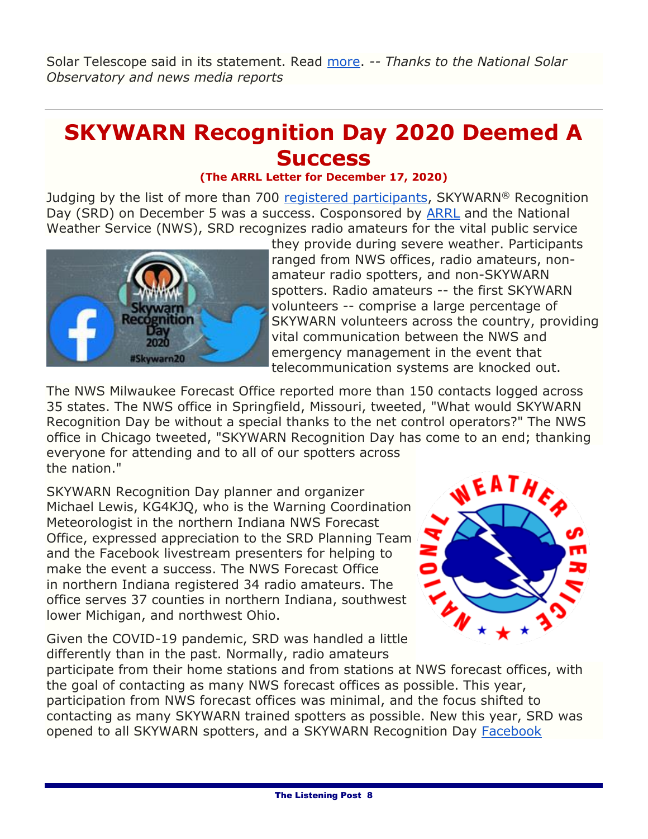Solar Telescope said in its statement. Read [more.](http://www.arrl.org/news/first-solar-image-from-hawaii-observatory-shows-close-up-of-a-sunspot) *-- Thanks to the National Solar Observatory and news media reports*

# **SKYWARN Recognition Day 2020 Deemed A Success**

#### **(The ARRL Letter for December 17, 2020)**

Judging by the list of more than 700 [registered participants,](https://www.weather.gov/crh/skywarn_participants) SKYWARN® Recognition Day (SRD) on December 5 was a success. Cosponsored by [ARRL](http://www.arrl.org/skywarn-recognition-day) and the National Weather Service (NWS), SRD recognizes radio amateurs for the vital public service



they provide during severe weather. Participants ranged from NWS offices, radio amateurs, nonamateur radio spotters, and non-SKYWARN spotters. Radio amateurs -- the first SKYWARN volunteers -- comprise a large percentage of SKYWARN volunteers across the country, providing vital communication between the NWS and emergency management in the event that telecommunication systems are knocked out.

The NWS Milwaukee Forecast Office reported more than 150 contacts logged across 35 states. The NWS office in Springfield, Missouri, tweeted, "What would SKYWARN Recognition Day be without a special thanks to the net control operators?" The NWS office in Chicago tweeted, "SKYWARN Recognition Day has come to an end; thanking everyone for attending and to all of our spotters across the nation."

SKYWARN Recognition Day planner and organizer Michael Lewis, KG4KJQ, who is the Warning Coordination Meteorologist in the northern Indiana NWS Forecast Office, expressed appreciation to the SRD Planning Team and the Facebook livestream presenters for helping to make the event a success. The NWS Forecast Office in northern Indiana registered 34 radio amateurs. The office serves 37 counties in northern Indiana, southwest lower Michigan, and northwest Ohio.

Given the COVID-19 pandemic, SRD was handled a little differently than in the past. Normally, radio amateurs



participate from their home stations and from stations at NWS forecast offices, with the goal of contacting as many NWS forecast offices as possible. This year, participation from NWS forecast offices was minimal, and the focus shifted to contacting as many SKYWARN trained spotters as possible. New this year, SRD was opened to all SKYWARN spotters, and a SKYWARN Recognition Day [Facebook](http://www.facebook.com/groups/skywarnrecognitionday)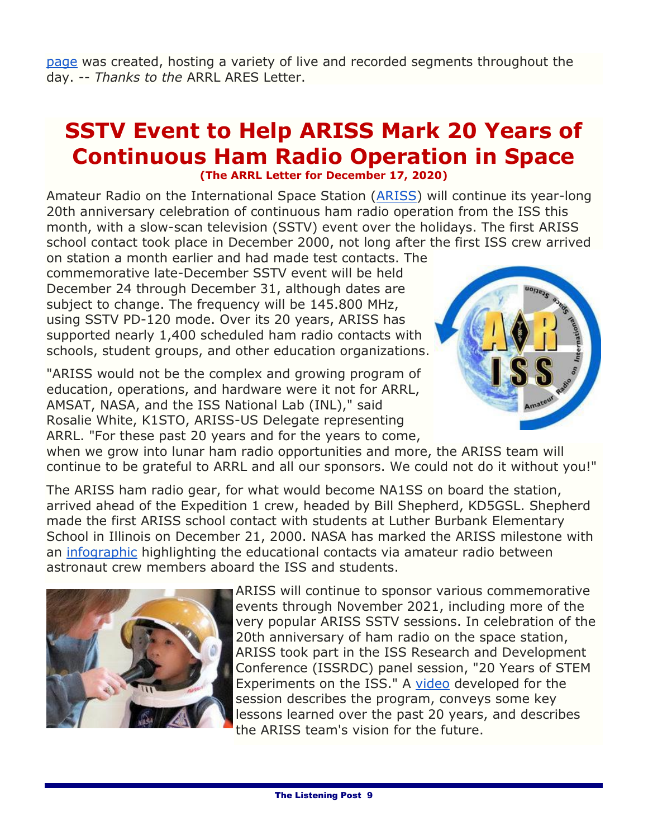[page](http://www.facebook.com/groups/skywarnrecognitionday) was created, hosting a variety of live and recorded segments throughout the day. -- *Thanks to the* ARRL ARES Letter.

#### **SSTV Event to Help ARISS Mark 20 Years of Continuous Ham Radio Operation in Space (The ARRL Letter for December 17, 2020)**

Amateur Radio on the International Space Station [\(ARISS\)](http://www.ariss.org/) will continue its year-long 20th anniversary celebration of continuous ham radio operation from the ISS this month, with a slow-scan television (SSTV) event over the holidays. The first ARISS school contact took place in December 2000, not long after the first ISS crew arrived on station a month earlier and had made test contacts. The

commemorative late-December SSTV event will be held December 24 through December 31, although dates are subject to change. The frequency will be 145.800 MHz, using SSTV PD-120 mode. Over its 20 years, ARISS has supported nearly 1,400 scheduled ham radio contacts with schools, student groups, and other education organizations.

"ARISS would not be the complex and growing program of education, operations, and hardware were it not for ARRL, AMSAT, NASA, and the ISS National Lab (INL)," said Rosalie White, K1STO, ARISS-US Delegate representing ARRL. "For these past 20 years and for the years to come,



when we grow into lunar ham radio opportunities and more, the ARISS team will continue to be grateful to ARRL and all our sponsors. We could not do it without you!"

The ARISS ham radio gear, for what would become NA1SS on board the station, arrived ahead of the Expedition 1 crew, headed by Bill Shepherd, KD5GSL. Shepherd made the first ARISS school contact with students at Luther Burbank Elementary School in Illinois on December 21, 2000. NASA has marked the ARISS milestone with an [infographic](https://www.nasa.gov/mission_pages/station/research/news/iss-20-years-ham-radio-infographic) highlighting the educational contacts via amateur radio between astronaut crew members aboard the ISS and students.



ARISS will continue to sponsor various commemorative events through November 2021, including more of the very popular ARISS SSTV sessions. In celebration of the 20th anniversary of ham radio on the space station, ARISS took part in the ISS Research and Development Conference (ISSRDC) panel session, "20 Years of STEM Experiments on the ISS." A [video](https://www.ariss.org/) developed for the session describes the program, conveys some key lessons learned over the past 20 years, and describes the ARISS team's vision for the future.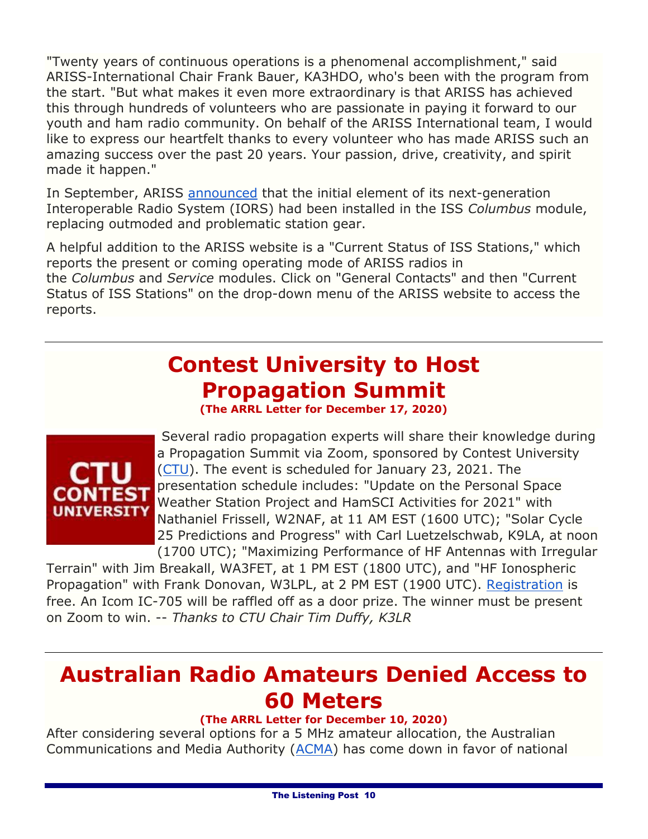"Twenty years of continuous operations is a phenomenal accomplishment," said ARISS-International Chair Frank Bauer, KA3HDO, who's been with the program from the start. "But what makes it even more extraordinary is that ARISS has achieved this through hundreds of volunteers who are passionate in paying it forward to our youth and ham radio community. On behalf of the ARISS International team, I would like to express our heartfelt thanks to every volunteer who has made ARISS such an amazing success over the past 20 years. Your passion, drive, creativity, and spirit made it happen."

In September, ARISS [announced](http://www.arrl.org/news/first-element-of-ariss-next-generation-radio-system-installed-and-operating-on-iss) that the initial element of its next-generation Interoperable Radio System (IORS) had been installed in the ISS *Columbus* module, replacing outmoded and problematic station gear.

A helpful addition to the ARISS website is a "Current Status of ISS Stations," which reports the present or coming operating mode of ARISS radios in the *Columbus* and *Service* modules. Click on "General Contacts" and then "Current Status of ISS Stations" on the drop-down menu of the ARISS website to access the reports.

# **Contest University to Host Propagation Summit**

**(The ARRL Letter for December 17, 2020)**



Several radio propagation experts will share their knowledge during a Propagation Summit via Zoom, sponsored by Contest University [\(CTU\)](https://www.contestuniversity.com/). The event is scheduled for January 23, 2021. The presentation schedule includes: "Update on the Personal Space Weather Station Project and HamSCI Activities for 2021" with Nathaniel Frissell, W2NAF, at 11 AM EST (1600 UTC); "Solar Cycle 25 Predictions and Progress" with Carl Luetzelschwab, K9LA, at noon (1700 UTC); "Maximizing Performance of HF Antennas with Irregular

Terrain" with Jim Breakall, WA3FET, at 1 PM EST (1800 UTC), and "HF Ionospheric Propagation" with Frank Donovan, W3LPL, at 2 PM EST (1900 UTC). [Registration](https://zoom.us/webinar/register/WN_dfLvFDxaTyakOWd_C7_puw) is free. An Icom IC-705 will be raffled off as a door prize. The winner must be present on Zoom to win. -- *Thanks to CTU Chair Tim Duffy, K3LR*

# **Australian Radio Amateurs Denied Access to 60 Meters**

#### **(The ARRL Letter for December 10, 2020)**

After considering several options for a 5 MHz amateur allocation, the Australian Communications and Media Authority [\(ACMA\)](https://www.acma.gov.au/) has come down in favor of national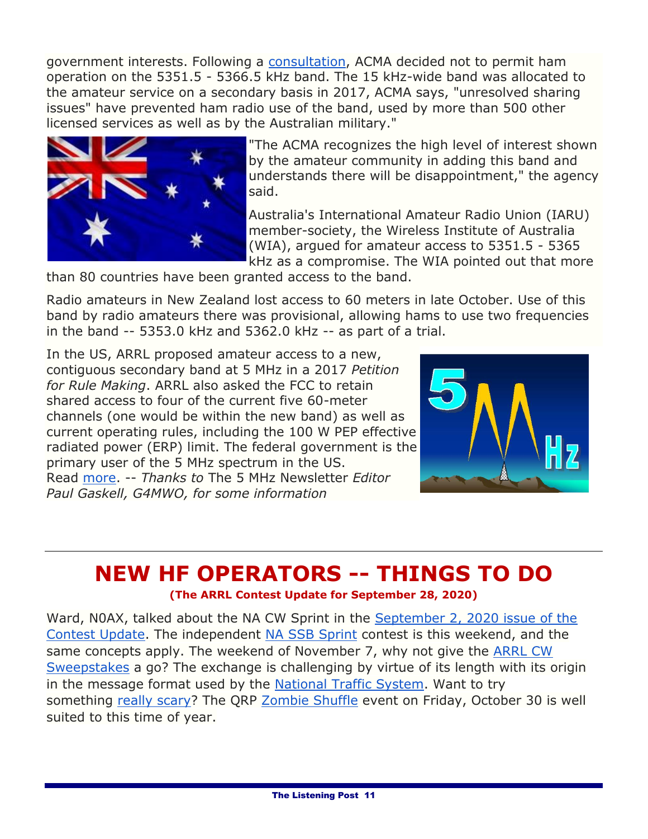government interests. Following a [consultation,](https://www.acma.gov.au/consultations/2020-05/possible-use-53515-53665-khz-band-amateur-service-consultation-132020) ACMA decided not to permit ham operation on the 5351.5 - 5366.5 kHz band. The 15 kHz-wide band was allocated to the amateur service on a secondary basis in 2017, ACMA says, "unresolved sharing issues" have prevented ham radio use of the band, used by more than 500 other licensed services as well as by the Australian military."



"The ACMA recognizes the high level of interest shown by the amateur community in adding this band and understands there will be disappointment," the agency said.

Australia's International Amateur Radio Union (IARU) member-society, the Wireless Institute of Australia (WIA), argued for amateur access to 5351.5 - 5365 kHz as a compromise. The WIA pointed out that more

than 80 countries have been granted access to the band.

Radio amateurs in New Zealand lost access to 60 meters in late October. Use of this band by radio amateurs there was provisional, allowing hams to use two frequencies in the band -- 5353.0 kHz and 5362.0 kHz -- as part of a trial.

In the US, ARRL proposed amateur access to a new, contiguous secondary band at 5 MHz in a 2017 *Petition for Rule Making*. ARRL also asked the FCC to retain shared access to four of the current five 60-meter channels (one would be within the new band) as well as current operating rules, including the 100 W PEP effective radiated power (ERP) limit. The federal government is the primary user of the 5 MHz spectrum in the US. Read [more.](http://www.arrl.org/news/australian-radio-amateurs-denied-access-to-60-meters) -- *Thanks to* The 5 MHz Newsletter *Editor Paul Gaskell, G4MWO, for some information*



#### **NEW HF OPERATORS -- THINGS TO DO (The ARRL Contest Update for September 28, 2020)**

Ward, N0AX, talked about the NA CW Sprint in the [September 2, 2020 issue of the](http://www.arrl.org/contest-update-issues?issue=2020-09-02)  [Contest Update.](http://www.arrl.org/contest-update-issues?issue=2020-09-02) The independent [NA SSB Sprint](https://ssbsprint.com/) contest is this weekend, and the same concepts apply. The weekend of November 7, why not give the [ARRL CW](http://www.arrl.org/sweepstakes)  [Sweepstakes](http://www.arrl.org/sweepstakes) a go? The exchange is challenging by virtue of its length with its origin in the message format used by the [National Traffic System.](http://www.arrl.org/nts) Want to try something [really scary?](https://www.youtube.com/watch?v=ETC6NSxpFFE) The QRP [Zombie Shuffle](http://www.zianet.com/qrp/ZOMBIE/pg.htm) event on Friday, October 30 is well suited to this time of year.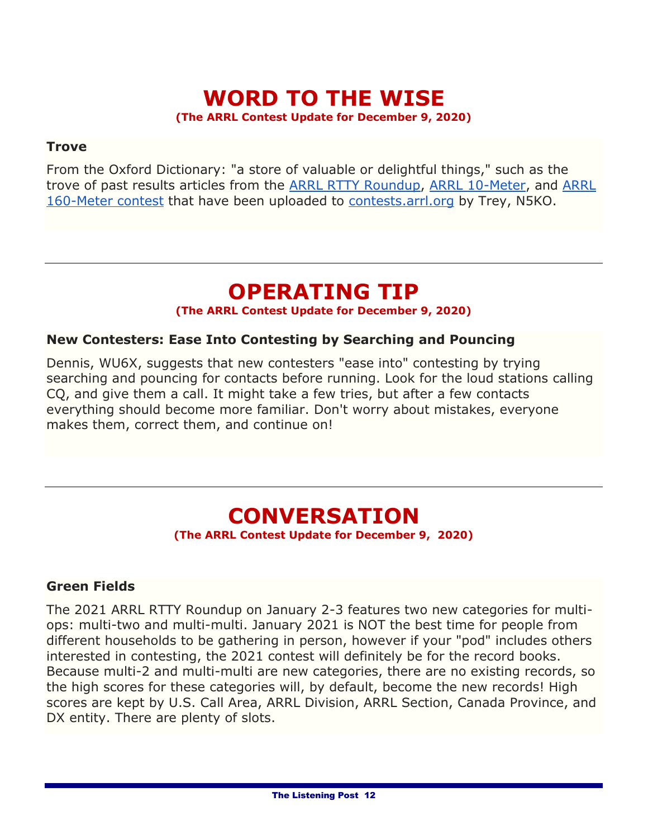#### **WORD TO THE WISE (The ARRL Contest Update for December 9, 2020)**

#### **Trove**

From the Oxford Dictionary: "a store of valuable or delightful things," such as the trove of past results articles from the [ARRL RTTY Roundup,](https://contests.arrl.org/rttyru/articles/) [ARRL 10-Meter,](https://contests.arrl.org/10m/articles/) and [ARRL](https://contests.arrl.org/160m/articles/)  [160-Meter contest](https://contests.arrl.org/160m/articles/) that have been uploaded to [contests.arrl.org](http://contests.arrl.org/) by Trey, N5KO.

## **OPERATING TIP**

#### **(The ARRL Contest Update for December 9, 2020)**

#### **New Contesters: Ease Into Contesting by Searching and Pouncing**

Dennis, WU6X, suggests that new contesters "ease into" contesting by trying searching and pouncing for contacts before running. Look for the loud stations calling CQ, and give them a call. It might take a few tries, but after a few contacts everything should become more familiar. Don't worry about mistakes, everyone makes them, correct them, and continue on!

# **CONVERSATION**

**(The ARRL Contest Update for December 9, 2020)**

#### **Green Fields**

The 2021 ARRL RTTY Roundup on January 2-3 features two new categories for multiops: multi-two and multi-multi. January 2021 is NOT the best time for people from different households to be gathering in person, however if your "pod" includes others interested in contesting, the 2021 contest will definitely be for the record books. Because multi-2 and multi-multi are new categories, there are no existing records, so the high scores for these categories will, by default, become the new records! High scores are kept by U.S. Call Area, ARRL Division, ARRL Section, Canada Province, and DX entity. There are plenty of slots.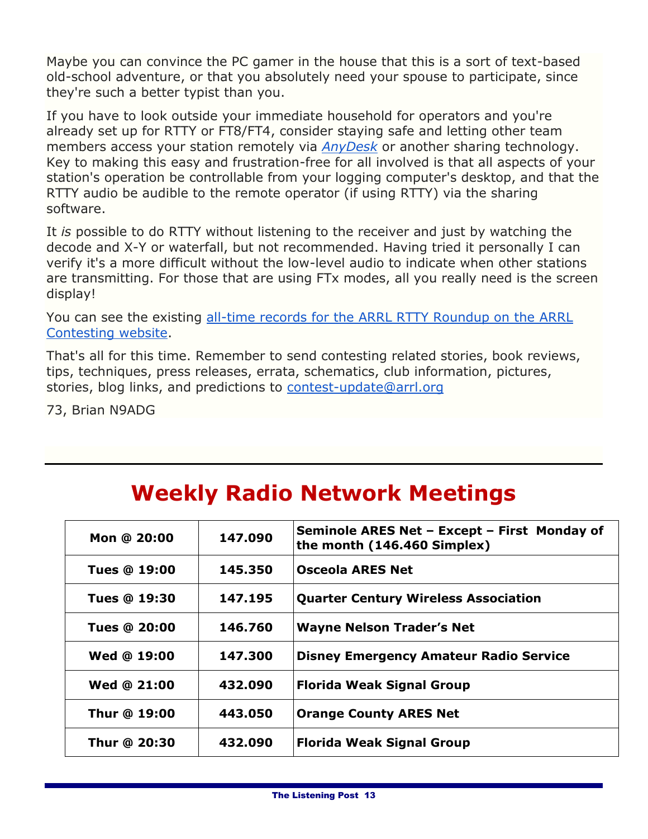Maybe you can convince the PC gamer in the house that this is a sort of text-based old-school adventure, or that you absolutely need your spouse to participate, since they're such a better typist than you.

If you have to look outside your immediate household for operators and you're already set up for RTTY or FT8/FT4, consider staying safe and letting other team members access your station remotely via *[AnyDesk](https://anydesk.com/en)* or another sharing technology. Key to making this easy and frustration-free for all involved is that all aspects of your station's operation be controllable from your logging computer's desktop, and that the RTTY audio be audible to the remote operator (if using RTTY) via the sharing software.

It *is* possible to do RTTY without listening to the receiver and just by watching the decode and X-Y or waterfall, but not recommended. Having tried it personally I can verify it's a more difficult without the low-level audio to indicate when other stations are transmitting. For those that are using FTx modes, all you really need is the screen display!

You can see the existing [all-time records for the ARRL RTTY Roundup on the](https://contests.arrl.org/records.php?cn=rttyru) ARRL [Contesting website.](https://contests.arrl.org/records.php?cn=rttyru)

That's all for this time. Remember to send contesting related stories, book reviews, tips, techniques, press releases, errata, schematics, club information, pictures, stories, blog links, and predictions to [contest-update@arrl.org](mailto:contest-update@arrl.org)

73, Brian N9ADG

| Seminole ARES Net - Except - First Monday of                                  |  |
|-------------------------------------------------------------------------------|--|
| 147.090<br>Mon @ 20:00<br>the month (146.460 Simplex)                         |  |
| <b>Osceola ARES Net</b><br><b>Tues @ 19:00</b><br>145.350                     |  |
| 147.195<br><b>Quarter Century Wireless Association</b><br><b>Tues @ 19:30</b> |  |
| 146.760<br>Tues @ 20:00<br><b>Wayne Nelson Trader's Net</b>                   |  |
| Wed @ 19:00<br>147.300<br><b>Disney Emergency Amateur Radio Service</b>       |  |
| Wed @ 21:00<br>432.090<br><b>Florida Weak Signal Group</b>                    |  |
| Thur @ 19:00<br>443.050<br><b>Orange County ARES Net</b>                      |  |
| Thur @ 20:30<br>432.090<br><b>Florida Weak Signal Group</b>                   |  |

# **Weekly Radio Network Meetings**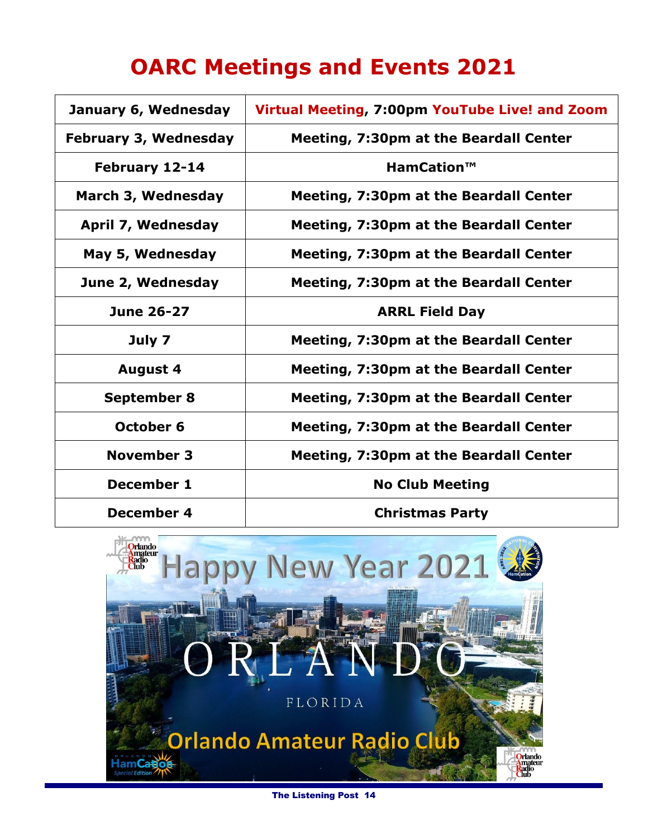# **OARC Meetings and Events 2021**

| January 6, Wednesday         | Virtual Meeting, 7:00pm YouTube Live! and Zoom |
|------------------------------|------------------------------------------------|
| <b>February 3, Wednesday</b> | <b>Meeting, 7:30pm at the Beardall Center</b>  |
| February 12-14               | HamCation™                                     |
| March 3, Wednesday           | <b>Meeting, 7:30pm at the Beardall Center</b>  |
| April 7, Wednesday           | <b>Meeting, 7:30pm at the Beardall Center</b>  |
| May 5, Wednesday             | <b>Meeting, 7:30pm at the Beardall Center</b>  |
| June 2, Wednesday            | <b>Meeting, 7:30pm at the Beardall Center</b>  |
| <b>June 26-27</b>            | <b>ARRL Field Day</b>                          |
| July 7                       | <b>Meeting, 7:30pm at the Beardall Center</b>  |
| <b>August 4</b>              | <b>Meeting, 7:30pm at the Beardall Center</b>  |
| <b>September 8</b>           | <b>Meeting, 7:30pm at the Beardall Center</b>  |
| October 6                    | <b>Meeting, 7:30pm at the Beardall Center</b>  |
| <b>November 3</b>            | <b>Meeting, 7:30pm at the Beardall Center</b>  |
| December 1                   | <b>No Club Meeting</b>                         |
| December 4                   | <b>Christmas Party</b>                         |



The Listening Post 14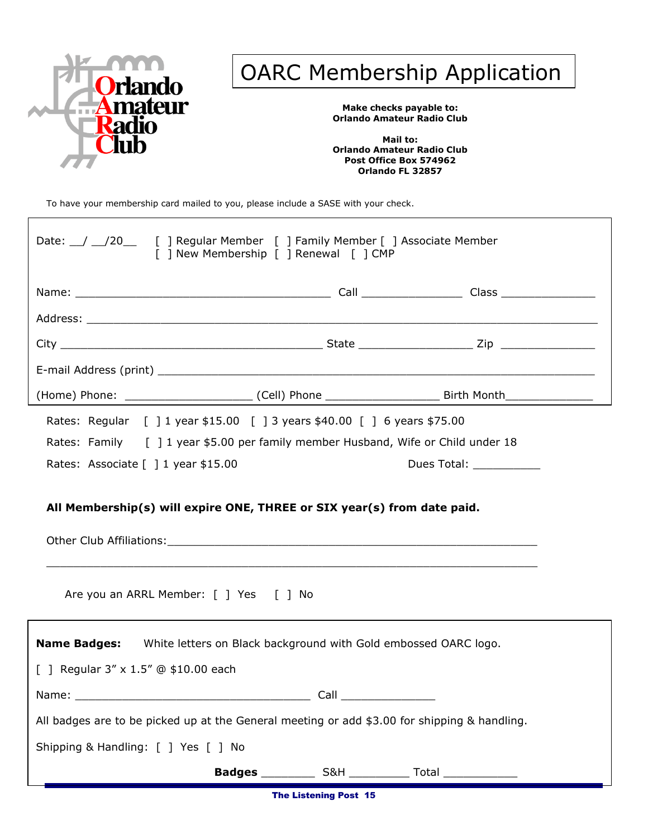

# OARC Membership Application

**Make checks payable to: Orlando Amateur Radio Club**

**Mail to: Orlando Amateur Radio Club Post Office Box 574962 Orlando FL 32857**

To have your membership card mailed to you, please include a SASE with your check.

| Date: 1201 [ ] Regular Member [ ] Family Member [ ] Associate Member<br>[ ] New Membership [ ] Renewal [ ] CMP    |                                                                         |                         |  |
|-------------------------------------------------------------------------------------------------------------------|-------------------------------------------------------------------------|-------------------------|--|
|                                                                                                                   |                                                                         |                         |  |
|                                                                                                                   |                                                                         |                         |  |
|                                                                                                                   |                                                                         |                         |  |
|                                                                                                                   |                                                                         |                         |  |
|                                                                                                                   |                                                                         |                         |  |
| Rates: Regular [ ] 1 year \$15.00 [ ] 3 years \$40.00 [ ] 6 years \$75.00                                         |                                                                         |                         |  |
| Rates: Family [ ] 1 year \$5.00 per family member Husband, Wife or Child under 18                                 |                                                                         |                         |  |
| Rates: Associate [ ] 1 year \$15.00                                                                               |                                                                         | Dues Total: ___________ |  |
| All Membership(s) will expire ONE, THREE or SIX year(s) from date paid.<br>Are you an ARRL Member: [ ] Yes [ ] No |                                                                         |                         |  |
| Name Badges: White letters on Black background with Gold embossed OARC logo.                                      |                                                                         |                         |  |
| [ ] Regular $3'' \times 1.5''$ @ \$10.00 each                                                                     |                                                                         |                         |  |
| Name:                                                                                                             | Call                                                                    |                         |  |
| All badges are to be picked up at the General meeting or add \$3.00 for shipping & handling.                      |                                                                         |                         |  |
| Shipping & Handling: [ ] Yes [ ] No                                                                               |                                                                         |                         |  |
|                                                                                                                   | <b>Badges</b> ______________ S&H _______________ Total ________________ |                         |  |

The Listening Post 15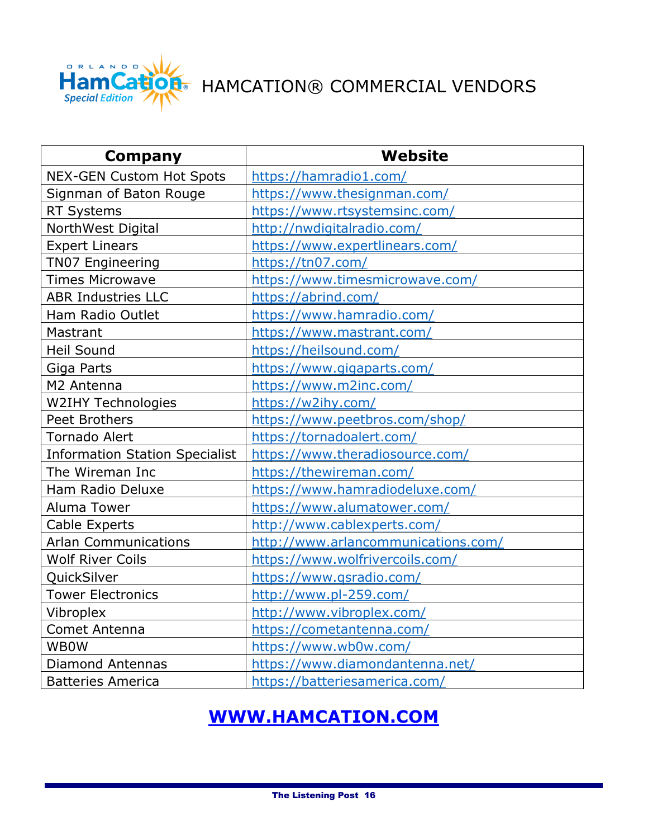

**ation** HAMCATION® COMMERCIAL VENDORS

| Company                               | <b>Website</b>                      |
|---------------------------------------|-------------------------------------|
| <b>NEX-GEN Custom Hot Spots</b>       | https://hamradio1.com/              |
| Signman of Baton Rouge                | https://www.thesignman.com/         |
| <b>RT Systems</b>                     | https://www.rtsystemsinc.com/       |
| NorthWest Digital                     | http://nwdigitalradio.com/          |
| <b>Expert Linears</b>                 | https://www.expertlinears.com/      |
| <b>TN07 Engineering</b>               | https://tn07.com/                   |
| <b>Times Microwave</b>                | https://www.timesmicrowave.com/     |
| <b>ABR Industries LLC</b>             | https://abrind.com/                 |
| Ham Radio Outlet                      | https://www.hamradio.com/           |
| Mastrant                              | https://www.mastrant.com/           |
| <b>Heil Sound</b>                     | https://heilsound.com/              |
| Giga Parts                            | https://www.gigaparts.com/          |
| M2 Antenna                            | https://www.m2inc.com/              |
| <b>W2IHY Technologies</b>             | https://w2ihy.com/                  |
| <b>Peet Brothers</b>                  | https://www.peetbros.com/shop/      |
| <b>Tornado Alert</b>                  | https://tornadoalert.com/           |
| <b>Information Station Specialist</b> | https://www.theradiosource.com/     |
| The Wireman Inc                       | https://thewireman.com/             |
| Ham Radio Deluxe                      | https://www.hamradiodeluxe.com/     |
| Aluma Tower                           | https://www.alumatower.com/         |
| <b>Cable Experts</b>                  | http://www.cablexperts.com/         |
| <b>Arlan Communications</b>           | http://www.arlancommunications.com/ |
| <b>Wolf River Coils</b>               | https://www.wolfrivercoils.com/     |
| QuickSilver                           | https://www.qsradio.com/            |
| <b>Tower Electronics</b>              | http://www.pl-259.com/              |
| Vibroplex                             | http://www.vibroplex.com/           |
| Comet Antenna                         | https://cometantenna.com/           |
| <b>WBOW</b>                           | https://www.wb0w.com/               |
| <b>Diamond Antennas</b>               | https://www.diamondantenna.net/     |
| <b>Batteries America</b>              | https://batteriesamerica.com/       |

### **[WWW.HAMCATION.COM](http://www.hamcation.com/)**